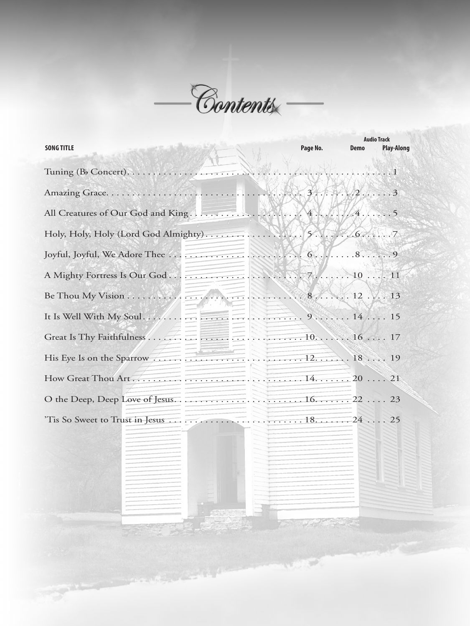

|                   |          | <b>Audio Track</b> |                   |
|-------------------|----------|--------------------|-------------------|
| <b>SONG TITLE</b> | Page No. | <b>Demo</b>        | <b>Play-Along</b> |
|                   |          |                    |                   |
|                   |          |                    |                   |
|                   |          |                    |                   |
|                   |          |                    |                   |
|                   |          |                    |                   |
|                   |          |                    |                   |
|                   |          |                    |                   |
|                   |          |                    |                   |
|                   |          |                    |                   |
|                   |          |                    |                   |
|                   |          |                    |                   |
|                   |          |                    |                   |
|                   |          |                    |                   |
|                   |          |                    |                   |
|                   |          |                    |                   |

**MAR**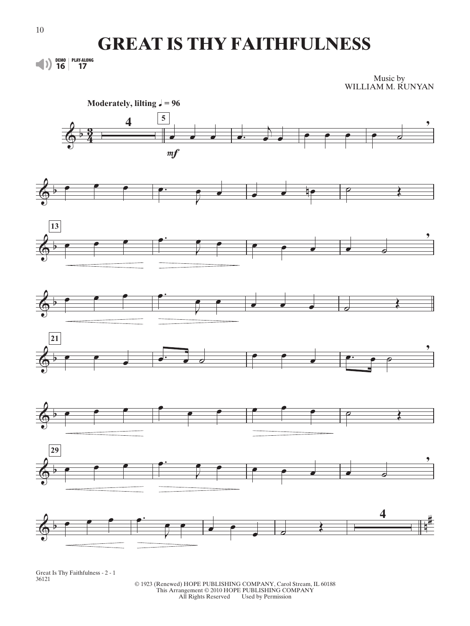## **GREAT IS THY FAITHFULNESS**

Music by WILLIAM M. RUNYAN



Great Is Thy Faithfulness - 2 - 1 36121

© 1923 (Renewed) HOPE PUBLISHING COMPANY, Carol Stream, IL 60188 This Arrangement © 2010 HOPE PUBLISHING COMPANY All Rights Reserved Used by Permission

DEMO **16** PLAY-ALONG **17**